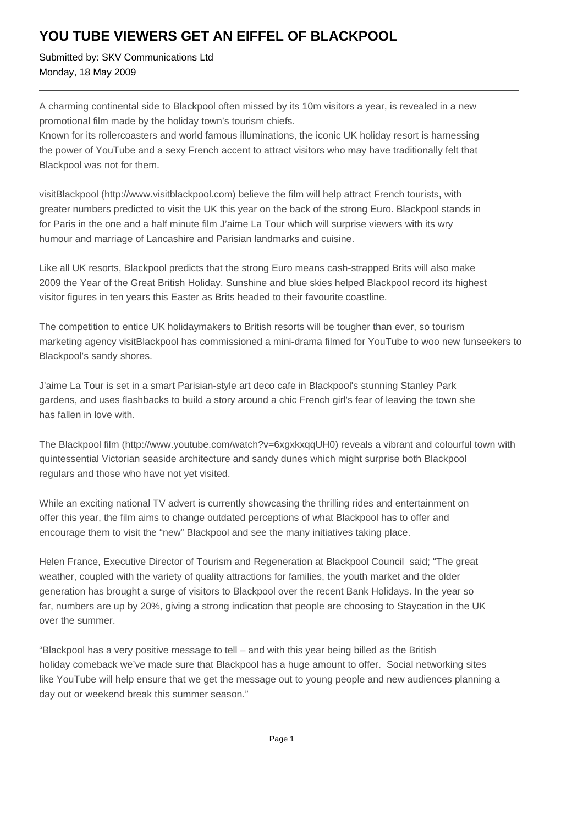## **YOU TUBE VIEWERS GET AN EIFFEL OF BLACKPOOL**

Submitted by: SKV Communications Ltd Monday, 18 May 2009

A charming continental side to Blackpool often missed by its 10m visitors a year, is revealed in a new promotional film made by the holiday town's tourism chiefs.

Known for its rollercoasters and world famous illuminations, the iconic UK holiday resort is harnessing the power of YouTube and a sexy French accent to attract visitors who may have traditionally felt that Blackpool was not for them.

visitBlackpool (http://www.visitblackpool.com) believe the film will help attract French tourists, with greater numbers predicted to visit the UK this year on the back of the strong Euro. Blackpool stands in for Paris in the one and a half minute film J'aime La Tour which will surprise viewers with its wry humour and marriage of Lancashire and Parisian landmarks and cuisine.

Like all UK resorts, Blackpool predicts that the strong Euro means cash-strapped Brits will also make 2009 the Year of the Great British Holiday. Sunshine and blue skies helped Blackpool record its highest visitor figures in ten years this Easter as Brits headed to their favourite coastline.

The competition to entice UK holidaymakers to British resorts will be tougher than ever, so tourism marketing agency visitBlackpool has commissioned a mini-drama filmed for YouTube to woo new funseekers to Blackpool's sandy shores.

J'aime La Tour is set in a smart Parisian-style art deco cafe in Blackpool's stunning Stanley Park gardens, and uses flashbacks to build a story around a chic French girl's fear of leaving the town she has fallen in love with.

The Blackpool film (http://www.youtube.com/watch?v=6xgxkxqqUH0) reveals a vibrant and colourful town with quintessential Victorian seaside architecture and sandy dunes which might surprise both Blackpool regulars and those who have not yet visited.

While an exciting national TV advert is currently showcasing the thrilling rides and entertainment on offer this year, the film aims to change outdated perceptions of what Blackpool has to offer and encourage them to visit the "new" Blackpool and see the many initiatives taking place.

Helen France, Executive Director of Tourism and Regeneration at Blackpool Council said; "The great weather, coupled with the variety of quality attractions for families, the youth market and the older generation has brought a surge of visitors to Blackpool over the recent Bank Holidays. In the year so far, numbers are up by 20%, giving a strong indication that people are choosing to Staycation in the UK over the summer.

"Blackpool has a very positive message to tell – and with this year being billed as the British holiday comeback we've made sure that Blackpool has a huge amount to offer. Social networking sites like YouTube will help ensure that we get the message out to young people and new audiences planning a day out or weekend break this summer season."